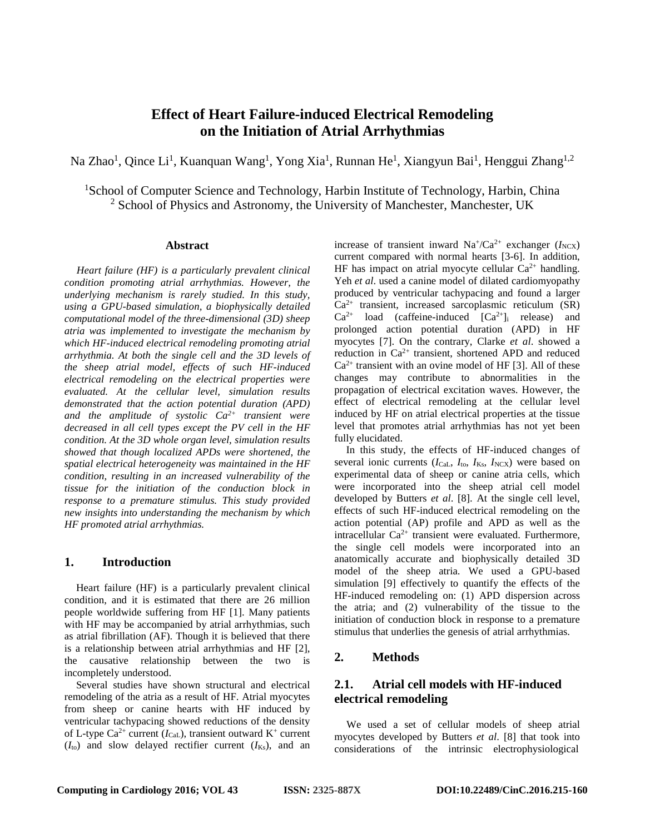# **Effect of Heart Failure-induced Electrical Remodeling on the Initiation of Atrial Arrhythmias**

Na Zhao<sup>1</sup>, Qince Li<sup>1</sup>, Kuanquan Wang<sup>1</sup>, Yong Xia<sup>1</sup>, Runnan He<sup>1</sup>, Xiangyun Bai<sup>1</sup>, Henggui Zhang<sup>1,2</sup>

<sup>1</sup>School of Computer Science and Technology, Harbin Institute of Technology, Harbin, China  $2$  School of Physics and Astronomy, the University of Manchester, Manchester, UK

#### **Abstract**

*Heart failure (HF) is a particularly prevalent clinical condition promoting atrial arrhythmias. However, the underlying mechanism is rarely studied. In this study, using a GPU-based simulation, a biophysically detailed computational model of the three-dimensional (3D) sheep atria was implemented to investigate the mechanism by which HF-induced electrical remodeling promoting atrial arrhythmia. At both the single cell and the 3D levels of the sheep atrial model, effects of such HF-induced electrical remodeling on the electrical properties were evaluated. At the cellular level, simulation results demonstrated that the action potential duration (APD) and the amplitude of systolic Ca2+ transient were decreased in all cell types except the PV cell in the HF condition. At the 3D whole organ level, simulation results showed that though localized APDs were shortened, the spatial electrical heterogeneity was maintained in the HF condition, resulting in an increased vulnerability of the tissue for the initiation of the conduction block in response to a premature stimulus. This study provided new insights into understanding the mechanism by which HF promoted atrial arrhythmias.* 

### **1. Introduction**

Heart failure (HF) is a particularly prevalent clinical condition, and it is estimated that there are 26 million people worldwide suffering from HF [1]. Many patients with HF may be accompanied by atrial arrhythmias, such as atrial fibrillation (AF). Though it is believed that there is a relationship between atrial arrhythmias and HF [2], the causative relationship between the two is incompletely understood.

Several studies have shown structural and electrical remodeling of the atria as a result of HF. Atrial myocytes from sheep or canine hearts with HF induced by ventricular tachypacing showed reductions of the density of L-type  $Ca^{2+}$  current ( $I_{Cal}$ ), transient outward K<sup>+</sup> current  $(I<sub>to</sub>)$  and slow delayed rectifier current  $(I<sub>Ks</sub>)$ , and an increase of transient inward  $Na^{\dagger}/Ca^{2+}$  exchanger ( $I_{NCX}$ ) current compared with normal hearts [3-6]. In addition, HF has impact on atrial myocyte cellular  $Ca^{2+}$  handling. Yeh *et al*. used a canine model of dilated cardiomyopathy produced by ventricular tachypacing and found a larger  $Ca<sup>2+</sup>$  transient, increased sarcoplasmic reticulum (SR)  $Ca^{2+}$  load (caffeine-induced  $[Ca^{2+}]_i$  release) and prolonged action potential duration (APD) in HF myocytes [7]. On the contrary, Clarke *et al*. showed a reduction in  $Ca^{2+}$  transient, shortened APD and reduced  $Ca<sup>2+</sup>$  transient with an ovine model of HF [3]. All of these changes may contribute to abnormalities in the propagation of electrical excitation waves. However, the effect of electrical remodeling at the cellular level induced by HF on atrial electrical properties at the tissue level that promotes atrial arrhythmias has not yet been fully elucidated.

In this study, the effects of HF-induced changes of several ionic currents ( $I_{\text{Cal}}$ ,  $I_{\text{to}}$ ,  $I_{\text{KS}}$ ,  $I_{\text{NCX}}$ ) were based on experimental data of sheep or canine atria cells, which were incorporated into the sheep atrial cell model developed by Butters *et al*. [8]. At the single cell level, effects of such HF-induced electrical remodeling on the action potential (AP) profile and APD as well as the intracellular  $Ca^{2+}$  transient were evaluated. Furthermore, the single cell models were incorporated into an anatomically accurate and biophysically detailed 3D model of the sheep atria. We used a GPU-based simulation [9] effectively to quantify the effects of the HF-induced remodeling on: (1) APD dispersion across the atria; and (2) vulnerability of the tissue to the initiation of conduction block in response to a premature stimulus that underlies the genesis of atrial arrhythmias.

## **2. Methods**

# **2.1. Atrial cell models with HF-induced electrical remodeling**

We used a set of cellular models of sheep atrial myocytes developed by Butters *et al*. [8] that took into considerations of the intrinsic electrophysiological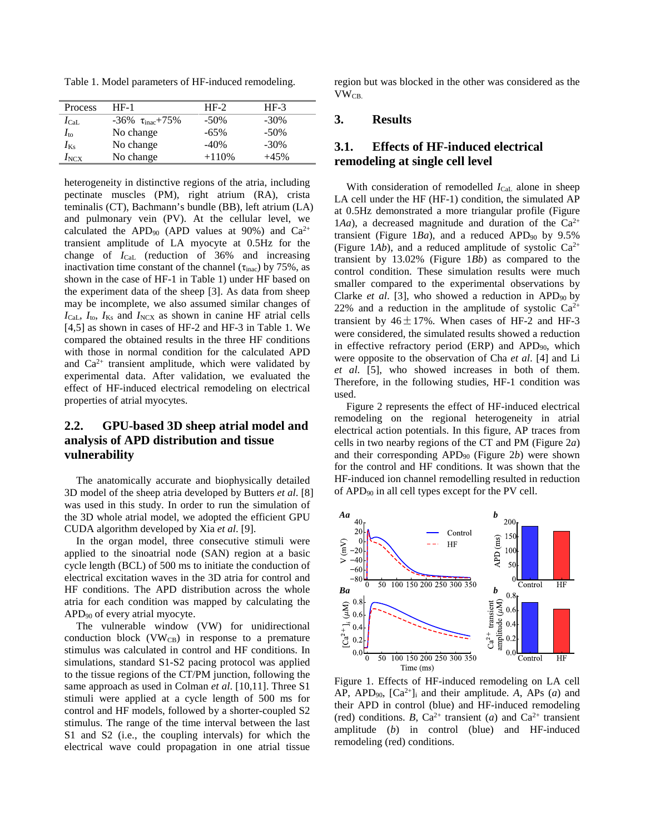Table 1. Model parameters of HF-induced remodeling.

| Process         | HF-1                                | $HF-2$  | $HF-3$  |  |
|-----------------|-------------------------------------|---------|---------|--|
| $I_{\rm{CaL}}$  | $-36\%$ $\tau_{\text{inac}} + 75\%$ | $-50\%$ | $-30\%$ |  |
| $I_{\text{to}}$ | No change                           | $-65%$  | $-50\%$ |  |
| $I_{\rm Ks}$    | No change                           | $-40%$  | $-30\%$ |  |
| $I_{\rm{NCX}}$  | No change                           | $+110%$ | $+45%$  |  |

heterogeneity in distinctive regions of the atria, including pectinate muscles (PM), right atrium (RA), crista teminalis (CT), Bachmann's bundle (BB), left atrium (LA) and pulmonary vein (PV). At the cellular level, we calculated the APD<sub>90</sub> (APD values at 90%) and  $Ca^{2+}$ transient amplitude of LA myocyte at 0.5Hz for the change of *I*CaL (reduction of 36% and increasing inactivation time constant of the channel  $(\tau_{\text{inac}})$  by 75%, as shown in the case of HF-1 in Table 1) under HF based on the experiment data of the sheep [3]. As data from sheep may be incomplete, we also assumed similar changes of  $I_{\text{Cat}}$ ,  $I_{\text{to}}$ ,  $I_{\text{K}}$  and  $I_{\text{NCX}}$  as shown in canine HF atrial cells [4,5] as shown in cases of HF-2 and HF-3 in Table 1. We compared the obtained results in the three HF conditions with those in normal condition for the calculated APD and  $Ca^{2+}$  transient amplitude, which were validated by experimental data. After validation, we evaluated the effect of HF-induced electrical remodeling on electrical properties of atrial myocytes.

# **2.2. GPU-based 3D sheep atrial model and analysis of APD distribution and tissue vulnerability**

The anatomically accurate and biophysically detailed 3D model of the sheep atria developed by Butters *et al*. [8] was used in this study. In order to run the simulation of the 3D whole atrial model, we adopted the efficient GPU CUDA algorithm developed by Xia *et al*. [9].

In the organ model, three consecutive stimuli were applied to the sinoatrial node (SAN) region at a basic cycle length (BCL) of 500 ms to initiate the conduction of electrical excitation waves in the 3D atria for control and HF conditions. The APD distribution across the whole atria for each condition was mapped by calculating the  $APD<sub>90</sub>$  of every atrial myocyte.

The vulnerable window (VW) for unidirectional conduction block ( $VW_{CB}$ ) in response to a premature stimulus was calculated in control and HF conditions. In simulations, standard S1-S2 pacing protocol was applied to the tissue regions of the CT/PM junction, following the same approach as used in Colman *et al*. [10,11]. Three S1 stimuli were applied at a cycle length of 500 ms for control and HF models, followed by a shorter-coupled S2 stimulus. The range of the time interval between the last S1 and S2 (i.e., the coupling intervals) for which the electrical wave could propagation in one atrial tissue

region but was blocked in the other was considered as the VWCB.

### **3. Results**

## **3.1. Effects of HF-induced electrical remodeling at single cell level**

With consideration of remodelled *I*<sub>CaL</sub> alone in sheep LA cell under the HF (HF-1) condition, the simulated AP at 0.5Hz demonstrated a more triangular profile (Figure 1*Aa*), a decreased magnitude and duration of the  $Ca^{2+}$ transient (Figure 1*Ba*), and a reduced APD<sub>90</sub> by 9.5% (Figure 1*Ab*), and a reduced amplitude of systolic  $Ca^{2+}$ transient by 13.02% (Figure 1*Bb*) as compared to the control condition. These simulation results were much smaller compared to the experimental observations by Clarke *et al.* [3], who showed a reduction in APD<sub>90</sub> by 22% and a reduction in the amplitude of systolic  $Ca^{2+}$ transient by  $46 \pm 17$ %. When cases of HF-2 and HF-3 were considered, the simulated results showed a reduction in effective refractory period (ERP) and APD<sub>90</sub>, which were opposite to the observation of Cha *et al*. [4] and Li *et al*. [5], who showed increases in both of them. Therefore, in the following studies, HF-1 condition was used.

Figure 2 represents the effect of HF-induced electrical remodeling on the regional heterogeneity in atrial electrical action potentials. In this figure, AP traces from cells in two nearby regions of the CT and PM (Figure 2*a*) and their corresponding APD90 (Figure 2*b*) were shown for the control and HF conditions. It was shown that the HF-induced ion channel remodelling resulted in reduction of APD90 in all cell types except for the PV cell.



Figure 1. Effects of HF-induced remodeling on LA cell AP, APD<sub>90</sub>,  $[Ca^{2+}]$ <sub>i</sub> and their amplitude. A, APs (*a*) and their APD in control (blue) and HF-induced remodeling (red) conditions. *B*,  $Ca^{2+}$  transient (*a*) and  $Ca^{2+}$  transient amplitude (*b*) in control (blue) and HF-induced remodeling (red) conditions.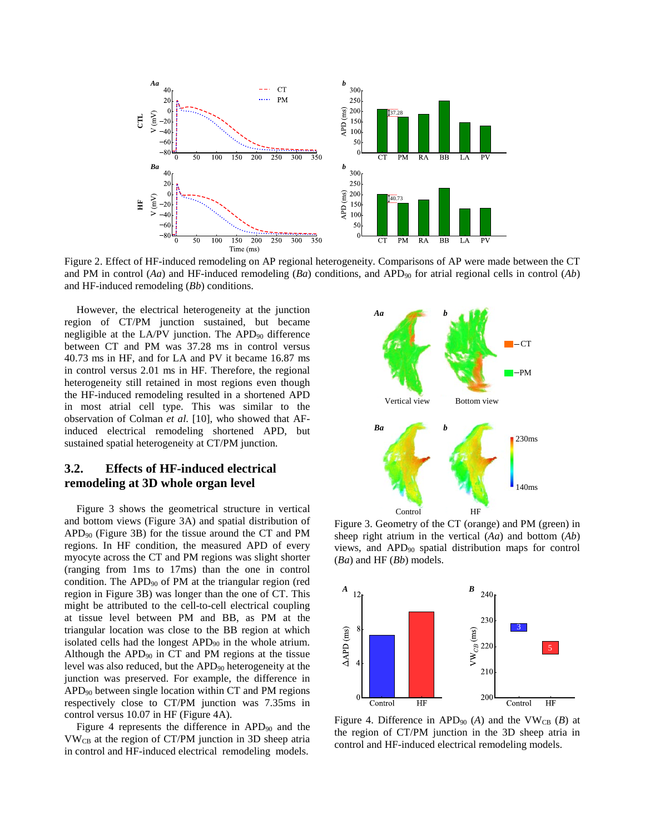

Figure 2. Effect of HF-induced remodeling on AP regional heterogeneity. Comparisons of AP were made between the CT and PM in control (*Aa*) and HF-induced remodeling (*Ba*) conditions, and APD<sub>90</sub> for atrial regional cells in control (*Ab*) and HF-induced remodeling (*Bb*) conditions.

However, the electrical heterogeneity at the junction region of CT/PM junction sustained, but became negligible at the LA/PV junction. The APD<sub>90</sub> difference between CT and PM was 37.28 ms in control versus 40.73 ms in HF, and for LA and PV it became 16.87 ms in control versus 2.01 ms in HF. Therefore, the regional heterogeneity still retained in most regions even though the HF-induced remodeling resulted in a shortened APD in most atrial cell type. This was similar to the observation of Colman *et al*. [10], who showed that AFinduced electrical remodeling shortened APD, but sustained spatial heterogeneity at CT/PM junction.

### **3.2. Effects of HF-induced electrical remodeling at 3D whole organ level**

Figure 3 shows the geometrical structure in vertical and bottom views (Figure 3A) and spatial distribution of  $APD<sub>90</sub>$  (Figure 3B) for the tissue around the CT and PM regions. In HF condition, the measured APD of every myocyte across the CT and PM regions was slight shorter (ranging from 1ms to 17ms) than the one in control condition. The APD<sub>90</sub> of PM at the triangular region (red region in Figure 3B) was longer than the one of CT. This might be attributed to the cell-to-cell electrical coupling at tissue level between PM and BB, as PM at the triangular location was close to the BB region at which isolated cells had the longest APD90 in the whole atrium. Although the APD90 in CT and PM regions at the tissue level was also reduced, but the APD<sub>90</sub> heterogeneity at the junction was preserved. For example, the difference in  $APD<sub>90</sub>$  between single location within CT and PM regions respectively close to CT/PM junction was 7.35ms in control versus 10.07 in HF (Figure 4A).

Figure 4 represents the difference in  $APD_{90}$  and the  $VW_{CB}$  at the region of CT/PM junction in 3D sheep atria in control and HF-induced electrical remodeling models.



Figure 3. Geometry of the CT (orange) and PM (green) in sheep right atrium in the vertical (*Aa*) and bottom (*Ab*) views, and APD90 spatial distribution maps for control (*Ba*) and HF (*Bb*) models.



Figure 4. Difference in APD<sub>90</sub> (A) and the VW<sub>CB</sub> (B) at the region of CT/PM junction in the 3D sheep atria in control and HF-induced electrical remodeling models.